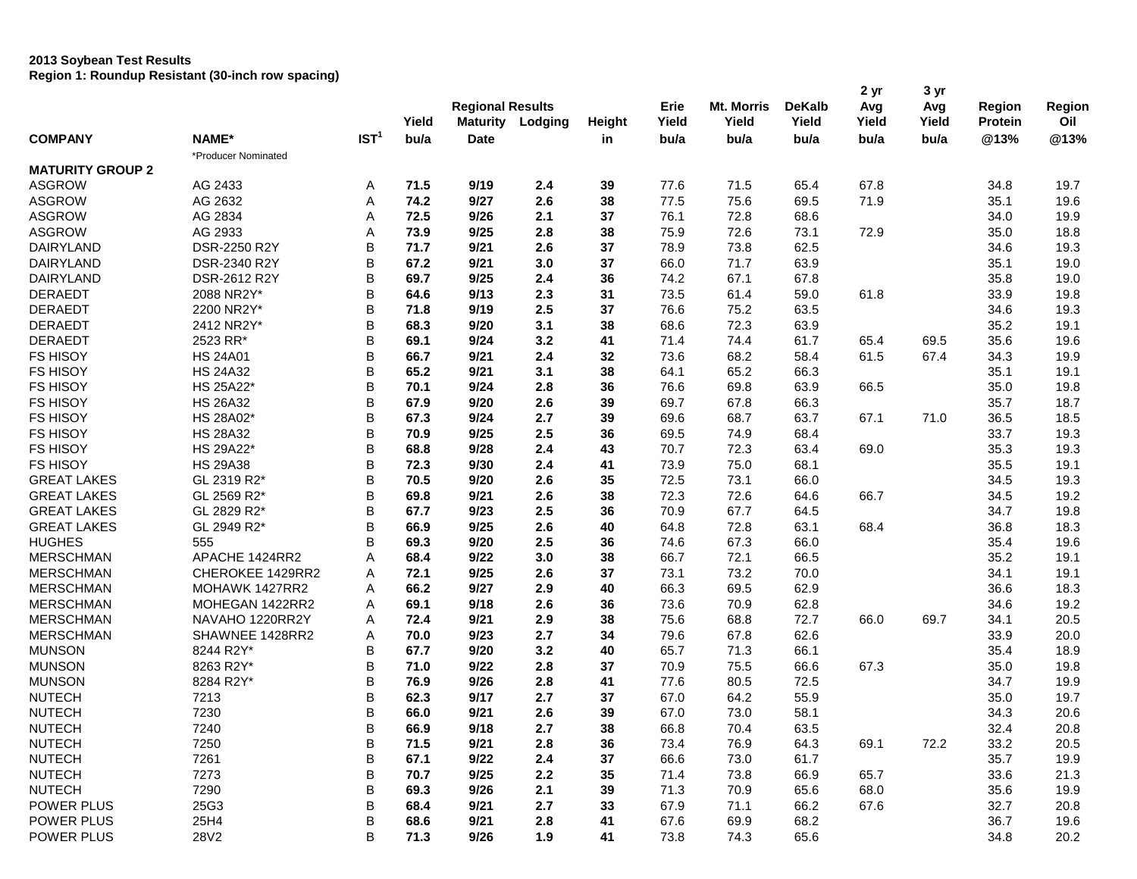## **2013 Soybean Test Results**

**Region 1: Roundup Resistant (30-inch row spacing)**

| Yield<br>Yield<br>Oil<br>Yield<br><b>Maturity</b><br>Lodging<br>Yield<br>Yield<br>Yield<br>Protein<br>Height<br>IST <sup>1</sup><br><b>COMPANY</b><br>NAME*<br>bu/a<br>bu/a<br>@13%<br>@13%<br><b>Date</b><br>bu/a<br>bu/a<br>bu/a<br>bu/a<br>in<br>*Producer Nominated<br><b>MATURITY GROUP 2</b><br><b>ASGROW</b><br>AG 2433<br>9/19<br>71.5<br>65.4<br>67.8<br>34.8<br>19.7<br>Α<br>71.5<br>2.4<br>39<br>77.6<br><b>ASGROW</b><br>74.2<br>9/27<br>2.6<br>38<br>AG 2632<br>A<br>77.5<br>75.6<br>69.5<br>71.9<br>35.1<br>19.6<br><b>ASGROW</b><br>AG 2834<br>A<br>76.1<br>19.9<br>72.5<br>9/26<br>2.1<br>37<br>72.8<br>68.6<br>34.0<br><b>ASGROW</b><br>AG 2933<br>Α<br>9/25<br>2.8<br>38<br>75.9<br>18.8<br>73.9<br>72.6<br>73.1<br>72.9<br>35.0<br>B<br>DAIRYLAND<br>DSR-2250 R2Y<br>71.7<br>9/21<br>2.6<br>37<br>78.9<br>73.8<br>62.5<br>19.3<br>34.6<br>B<br>37<br>DAIRYLAND<br>DSR-2340 R2Y<br>67.2<br>9/21<br>3.0<br>66.0<br>71.7<br>63.9<br>35.1<br>19.0<br>B<br><b>DAIRYLAND</b><br>DSR-2612 R2Y<br>69.7<br>9/25<br>2.4<br>36<br>74.2<br>67.1<br>67.8<br>35.8<br>19.0<br>B<br>19.8<br><b>DERAEDT</b><br>2088 NR2Y*<br>64.6<br>9/13<br>2.3<br>31<br>73.5<br>61.4<br>59.0<br>61.8<br>33.9<br>B<br><b>DERAEDT</b><br>2200 NR2Y*<br>9/19<br>2.5<br>37<br>76.6<br>75.2<br>63.5<br>19.3<br>71.8<br>34.6<br>B<br><b>DERAEDT</b><br>2412 NR2Y*<br>68.3<br>9/20<br>3.1<br>38<br>68.6<br>72.3<br>63.9<br>35.2<br>19.1<br>B<br><b>DERAEDT</b><br>2523 RR*<br>69.1<br>9/24<br>3.2<br>41<br>71.4<br>61.7<br>69.5<br>35.6<br>19.6<br>74.4<br>65.4<br>B<br><b>FS HISOY</b><br><b>HS 24A01</b><br>66.7<br>9/21<br>2.4<br>32<br>73.6<br>68.2<br>58.4<br>61.5<br>67.4<br>34.3<br>19.9<br>B<br><b>FS HISOY</b><br><b>HS 24A32</b><br>65.2<br>9/21<br>38<br>64.1<br>65.2<br>66.3<br>19.1<br>3.1<br>35.1<br>B<br><b>FS HISOY</b><br>HS 25A22*<br>9/24<br>2.8<br>36<br>76.6<br>69.8<br>63.9<br>66.5<br>19.8<br>70.1<br>35.0<br>B<br><b>FS HISOY</b><br><b>HS 26A32</b><br>67.9<br>9/20<br>2.6<br>39<br>69.7<br>67.8<br>66.3<br>35.7<br>18.7<br>B<br><b>FS HISOY</b><br>HS 28A02*<br>9/24<br>2.7<br>39<br>69.6<br>68.7<br>63.7<br>67.1<br>71.0<br>36.5<br>18.5<br>67.3<br>B<br><b>FS HISOY</b><br>9/25<br>2.5<br>36<br><b>HS 28A32</b><br>70.9<br>69.5<br>74.9<br>68.4<br>33.7<br>19.3<br>B<br>19.3<br><b>FS HISOY</b><br>HS 29A22*<br>68.8<br>9/28<br>2.4<br>43<br>70.7<br>72.3<br>63.4<br>35.3<br>69.0<br>B<br><b>FS HISOY</b><br><b>HS 29A38</b><br>9/30<br>2.4<br>73.9<br>68.1<br>19.1<br>72.3<br>41<br>75.0<br>35.5<br>B<br><b>GREAT LAKES</b><br>GL 2319 R2*<br>70.5<br>9/20<br>2.6<br>35<br>72.5<br>73.1<br>66.0<br>19.3<br>34.5<br>B<br>38<br><b>GREAT LAKES</b><br>GL 2569 R2*<br>9/21<br>2.6<br>72.3<br>72.6<br>66.7<br>19.2<br>69.8<br>64.6<br>34.5<br>B<br>2.5<br><b>GREAT LAKES</b><br>GL 2829 R2*<br>67.7<br>9/23<br>36<br>70.9<br>67.7<br>34.7<br>19.8<br>64.5<br>B<br><b>GREAT LAKES</b><br>GL 2949 R2*<br>66.9<br>9/25<br>2.6<br>40<br>64.8<br>72.8<br>18.3<br>63.1<br>68.4<br>36.8<br>B<br><b>HUGHES</b><br>555<br>9/20<br>2.5<br>36<br>67.3<br>66.0<br>19.6<br>69.3<br>74.6<br>35.4<br>Α<br><b>MERSCHMAN</b><br>APACHE 1424RR2<br>68.4<br>9/22<br>3.0<br>38<br>66.7<br>72.1<br>66.5<br>35.2<br>19.1<br><b>MERSCHMAN</b><br>CHEROKEE 1429RR2<br>Α<br>72.1<br>9/25<br>2.6<br>37<br>73.1<br>73.2<br>70.0<br>34.1<br>19.1<br>66.3<br><b>MERSCHMAN</b><br>MOHAWK 1427RR2<br>A<br>66.2<br>9/27<br>2.9<br>40<br>69.5<br>62.9<br>36.6<br>18.3<br>19.2<br><b>MERSCHMAN</b><br>MOHEGAN 1422RR2<br>Α<br>9/18<br>2.6<br>36<br>73.6<br>70.9<br>62.8<br>34.6<br>69.1<br><b>MERSCHMAN</b><br>NAVAHO 1220RR2Y<br>9/21<br>2.9<br>38<br>75.6<br>68.8<br>72.7<br>66.0<br>69.7<br>20.5<br>Α<br>72.4<br>34.1<br><b>MERSCHMAN</b><br>SHAWNEE 1428RR2<br>Α<br>9/23<br>2.7<br>34<br>79.6<br>67.8<br>62.6<br>33.9<br>20.0<br>70.0<br>B<br>3.2<br><b>MUNSON</b><br>8244 R2Y*<br>67.7<br>9/20<br>40<br>65.7<br>71.3<br>66.1<br>18.9<br>35.4<br><b>MUNSON</b><br>B<br>8263 R2Y*<br>9/22<br>2.8<br>37<br>70.9<br>75.5<br>67.3<br>19.8<br>71.0<br>66.6<br>35.0<br>B<br><b>MUNSON</b><br>9/26<br>77.6<br>72.5<br>19.9<br>8284 R2Y*<br>76.9<br>2.8<br>41<br>80.5<br>34.7<br>B<br><b>NUTECH</b><br>9/17<br>2.7<br>67.0<br>55.9<br>19.7<br>7213<br>62.3<br>37<br>64.2<br>35.0<br>B<br><b>NUTECH</b><br>7230<br>66.0<br>9/21<br>2.6<br>39<br>67.0<br>73.0<br>58.1<br>20.6<br>34.3<br><b>NUTECH</b><br>7240<br>B<br>66.9<br>9/18<br>$2.7\,$<br>38<br>66.8<br>70.4<br>63.5<br>32.4<br>20.8<br>B<br>9/21<br>72.2<br>33.2<br><b>NUTECH</b><br>7250<br>71.5<br>2.8<br>36<br>73.4<br>76.9<br>64.3<br>69.1<br>20.5<br><b>NUTECH</b><br>B<br>7261<br>67.1<br>35.7<br>19.9<br>9/22<br>2.4<br>37<br>66.6<br>73.0<br>61.7<br>B<br><b>NUTECH</b><br>2.2<br>7273<br>70.7<br>9/25<br>35<br>71.4<br>73.8<br>66.9<br>65.7<br>33.6<br>21.3<br>B<br><b>NUTECH</b><br>7290<br>9/26<br>2.1<br>71.3<br>68.0<br>69.3<br>39<br>70.9<br>65.6<br>35.6<br>19.9<br>B<br>POWER PLUS<br>25G3<br>9/21<br>2.7<br>33<br>67.9<br>71.1<br>66.2<br>67.6<br>20.8<br>68.4<br>32.7<br>B<br>POWER PLUS<br>25H4<br>9/21<br>2.8<br>41<br>67.6<br>69.9<br>68.2<br>36.7<br>68.6<br>19.6<br>B<br>20.2<br>POWER PLUS<br>28V2<br>71.3<br>9/26<br>1.9<br>41<br>73.8<br>74.3<br>65.6<br>34.8 |  |  |                         |  |  |      |                   |               | 2 yr | 3 yr |               |        |
|----------------------------------------------------------------------------------------------------------------------------------------------------------------------------------------------------------------------------------------------------------------------------------------------------------------------------------------------------------------------------------------------------------------------------------------------------------------------------------------------------------------------------------------------------------------------------------------------------------------------------------------------------------------------------------------------------------------------------------------------------------------------------------------------------------------------------------------------------------------------------------------------------------------------------------------------------------------------------------------------------------------------------------------------------------------------------------------------------------------------------------------------------------------------------------------------------------------------------------------------------------------------------------------------------------------------------------------------------------------------------------------------------------------------------------------------------------------------------------------------------------------------------------------------------------------------------------------------------------------------------------------------------------------------------------------------------------------------------------------------------------------------------------------------------------------------------------------------------------------------------------------------------------------------------------------------------------------------------------------------------------------------------------------------------------------------------------------------------------------------------------------------------------------------------------------------------------------------------------------------------------------------------------------------------------------------------------------------------------------------------------------------------------------------------------------------------------------------------------------------------------------------------------------------------------------------------------------------------------------------------------------------------------------------------------------------------------------------------------------------------------------------------------------------------------------------------------------------------------------------------------------------------------------------------------------------------------------------------------------------------------------------------------------------------------------------------------------------------------------------------------------------------------------------------------------------------------------------------------------------------------------------------------------------------------------------------------------------------------------------------------------------------------------------------------------------------------------------------------------------------------------------------------------------------------------------------------------------------------------------------------------------------------------------------------------------------------------------------------------------------------------------------------------------------------------------------------------------------------------------------------------------------------------------------------------------------------------------------------------------------------------------------------------------------------------------------------------------------------------------------------------------------------------------------------------------------------------------------------------------------------------------------------------------------------------------------------------------------------------------------------------------------------------------------------------------------------------------------------------------------------------------------------------------------------------------------------------------------------------------------------------------------------------------------------------------------------------------------------------------------------------------------------------------------------------------------------------------------------------------------------------------------------------------------------------------------------------------------------------------------------------------------------------------------------------------------------------------------------------------------------------------------------------------------------------------------------------|--|--|-------------------------|--|--|------|-------------------|---------------|------|------|---------------|--------|
|                                                                                                                                                                                                                                                                                                                                                                                                                                                                                                                                                                                                                                                                                                                                                                                                                                                                                                                                                                                                                                                                                                                                                                                                                                                                                                                                                                                                                                                                                                                                                                                                                                                                                                                                                                                                                                                                                                                                                                                                                                                                                                                                                                                                                                                                                                                                                                                                                                                                                                                                                                                                                                                                                                                                                                                                                                                                                                                                                                                                                                                                                                                                                                                                                                                                                                                                                                                                                                                                                                                                                                                                                                                                                                                                                                                                                                                                                                                                                                                                                                                                                                                                                                                                                                                                                                                                                                                                                                                                                                                                                                                                                                                                                                                                                                                                                                                                                                                                                                                                                                                                                                                                                                                                                |  |  | <b>Regional Results</b> |  |  | Erie | <b>Mt. Morris</b> | <b>DeKalb</b> | Avg  | Avg  | <b>Region</b> | Region |
|                                                                                                                                                                                                                                                                                                                                                                                                                                                                                                                                                                                                                                                                                                                                                                                                                                                                                                                                                                                                                                                                                                                                                                                                                                                                                                                                                                                                                                                                                                                                                                                                                                                                                                                                                                                                                                                                                                                                                                                                                                                                                                                                                                                                                                                                                                                                                                                                                                                                                                                                                                                                                                                                                                                                                                                                                                                                                                                                                                                                                                                                                                                                                                                                                                                                                                                                                                                                                                                                                                                                                                                                                                                                                                                                                                                                                                                                                                                                                                                                                                                                                                                                                                                                                                                                                                                                                                                                                                                                                                                                                                                                                                                                                                                                                                                                                                                                                                                                                                                                                                                                                                                                                                                                                |  |  |                         |  |  |      |                   |               |      |      |               |        |
|                                                                                                                                                                                                                                                                                                                                                                                                                                                                                                                                                                                                                                                                                                                                                                                                                                                                                                                                                                                                                                                                                                                                                                                                                                                                                                                                                                                                                                                                                                                                                                                                                                                                                                                                                                                                                                                                                                                                                                                                                                                                                                                                                                                                                                                                                                                                                                                                                                                                                                                                                                                                                                                                                                                                                                                                                                                                                                                                                                                                                                                                                                                                                                                                                                                                                                                                                                                                                                                                                                                                                                                                                                                                                                                                                                                                                                                                                                                                                                                                                                                                                                                                                                                                                                                                                                                                                                                                                                                                                                                                                                                                                                                                                                                                                                                                                                                                                                                                                                                                                                                                                                                                                                                                                |  |  |                         |  |  |      |                   |               |      |      |               |        |
|                                                                                                                                                                                                                                                                                                                                                                                                                                                                                                                                                                                                                                                                                                                                                                                                                                                                                                                                                                                                                                                                                                                                                                                                                                                                                                                                                                                                                                                                                                                                                                                                                                                                                                                                                                                                                                                                                                                                                                                                                                                                                                                                                                                                                                                                                                                                                                                                                                                                                                                                                                                                                                                                                                                                                                                                                                                                                                                                                                                                                                                                                                                                                                                                                                                                                                                                                                                                                                                                                                                                                                                                                                                                                                                                                                                                                                                                                                                                                                                                                                                                                                                                                                                                                                                                                                                                                                                                                                                                                                                                                                                                                                                                                                                                                                                                                                                                                                                                                                                                                                                                                                                                                                                                                |  |  |                         |  |  |      |                   |               |      |      |               |        |
|                                                                                                                                                                                                                                                                                                                                                                                                                                                                                                                                                                                                                                                                                                                                                                                                                                                                                                                                                                                                                                                                                                                                                                                                                                                                                                                                                                                                                                                                                                                                                                                                                                                                                                                                                                                                                                                                                                                                                                                                                                                                                                                                                                                                                                                                                                                                                                                                                                                                                                                                                                                                                                                                                                                                                                                                                                                                                                                                                                                                                                                                                                                                                                                                                                                                                                                                                                                                                                                                                                                                                                                                                                                                                                                                                                                                                                                                                                                                                                                                                                                                                                                                                                                                                                                                                                                                                                                                                                                                                                                                                                                                                                                                                                                                                                                                                                                                                                                                                                                                                                                                                                                                                                                                                |  |  |                         |  |  |      |                   |               |      |      |               |        |
|                                                                                                                                                                                                                                                                                                                                                                                                                                                                                                                                                                                                                                                                                                                                                                                                                                                                                                                                                                                                                                                                                                                                                                                                                                                                                                                                                                                                                                                                                                                                                                                                                                                                                                                                                                                                                                                                                                                                                                                                                                                                                                                                                                                                                                                                                                                                                                                                                                                                                                                                                                                                                                                                                                                                                                                                                                                                                                                                                                                                                                                                                                                                                                                                                                                                                                                                                                                                                                                                                                                                                                                                                                                                                                                                                                                                                                                                                                                                                                                                                                                                                                                                                                                                                                                                                                                                                                                                                                                                                                                                                                                                                                                                                                                                                                                                                                                                                                                                                                                                                                                                                                                                                                                                                |  |  |                         |  |  |      |                   |               |      |      |               |        |
|                                                                                                                                                                                                                                                                                                                                                                                                                                                                                                                                                                                                                                                                                                                                                                                                                                                                                                                                                                                                                                                                                                                                                                                                                                                                                                                                                                                                                                                                                                                                                                                                                                                                                                                                                                                                                                                                                                                                                                                                                                                                                                                                                                                                                                                                                                                                                                                                                                                                                                                                                                                                                                                                                                                                                                                                                                                                                                                                                                                                                                                                                                                                                                                                                                                                                                                                                                                                                                                                                                                                                                                                                                                                                                                                                                                                                                                                                                                                                                                                                                                                                                                                                                                                                                                                                                                                                                                                                                                                                                                                                                                                                                                                                                                                                                                                                                                                                                                                                                                                                                                                                                                                                                                                                |  |  |                         |  |  |      |                   |               |      |      |               |        |
|                                                                                                                                                                                                                                                                                                                                                                                                                                                                                                                                                                                                                                                                                                                                                                                                                                                                                                                                                                                                                                                                                                                                                                                                                                                                                                                                                                                                                                                                                                                                                                                                                                                                                                                                                                                                                                                                                                                                                                                                                                                                                                                                                                                                                                                                                                                                                                                                                                                                                                                                                                                                                                                                                                                                                                                                                                                                                                                                                                                                                                                                                                                                                                                                                                                                                                                                                                                                                                                                                                                                                                                                                                                                                                                                                                                                                                                                                                                                                                                                                                                                                                                                                                                                                                                                                                                                                                                                                                                                                                                                                                                                                                                                                                                                                                                                                                                                                                                                                                                                                                                                                                                                                                                                                |  |  |                         |  |  |      |                   |               |      |      |               |        |
|                                                                                                                                                                                                                                                                                                                                                                                                                                                                                                                                                                                                                                                                                                                                                                                                                                                                                                                                                                                                                                                                                                                                                                                                                                                                                                                                                                                                                                                                                                                                                                                                                                                                                                                                                                                                                                                                                                                                                                                                                                                                                                                                                                                                                                                                                                                                                                                                                                                                                                                                                                                                                                                                                                                                                                                                                                                                                                                                                                                                                                                                                                                                                                                                                                                                                                                                                                                                                                                                                                                                                                                                                                                                                                                                                                                                                                                                                                                                                                                                                                                                                                                                                                                                                                                                                                                                                                                                                                                                                                                                                                                                                                                                                                                                                                                                                                                                                                                                                                                                                                                                                                                                                                                                                |  |  |                         |  |  |      |                   |               |      |      |               |        |
|                                                                                                                                                                                                                                                                                                                                                                                                                                                                                                                                                                                                                                                                                                                                                                                                                                                                                                                                                                                                                                                                                                                                                                                                                                                                                                                                                                                                                                                                                                                                                                                                                                                                                                                                                                                                                                                                                                                                                                                                                                                                                                                                                                                                                                                                                                                                                                                                                                                                                                                                                                                                                                                                                                                                                                                                                                                                                                                                                                                                                                                                                                                                                                                                                                                                                                                                                                                                                                                                                                                                                                                                                                                                                                                                                                                                                                                                                                                                                                                                                                                                                                                                                                                                                                                                                                                                                                                                                                                                                                                                                                                                                                                                                                                                                                                                                                                                                                                                                                                                                                                                                                                                                                                                                |  |  |                         |  |  |      |                   |               |      |      |               |        |
|                                                                                                                                                                                                                                                                                                                                                                                                                                                                                                                                                                                                                                                                                                                                                                                                                                                                                                                                                                                                                                                                                                                                                                                                                                                                                                                                                                                                                                                                                                                                                                                                                                                                                                                                                                                                                                                                                                                                                                                                                                                                                                                                                                                                                                                                                                                                                                                                                                                                                                                                                                                                                                                                                                                                                                                                                                                                                                                                                                                                                                                                                                                                                                                                                                                                                                                                                                                                                                                                                                                                                                                                                                                                                                                                                                                                                                                                                                                                                                                                                                                                                                                                                                                                                                                                                                                                                                                                                                                                                                                                                                                                                                                                                                                                                                                                                                                                                                                                                                                                                                                                                                                                                                                                                |  |  |                         |  |  |      |                   |               |      |      |               |        |
|                                                                                                                                                                                                                                                                                                                                                                                                                                                                                                                                                                                                                                                                                                                                                                                                                                                                                                                                                                                                                                                                                                                                                                                                                                                                                                                                                                                                                                                                                                                                                                                                                                                                                                                                                                                                                                                                                                                                                                                                                                                                                                                                                                                                                                                                                                                                                                                                                                                                                                                                                                                                                                                                                                                                                                                                                                                                                                                                                                                                                                                                                                                                                                                                                                                                                                                                                                                                                                                                                                                                                                                                                                                                                                                                                                                                                                                                                                                                                                                                                                                                                                                                                                                                                                                                                                                                                                                                                                                                                                                                                                                                                                                                                                                                                                                                                                                                                                                                                                                                                                                                                                                                                                                                                |  |  |                         |  |  |      |                   |               |      |      |               |        |
|                                                                                                                                                                                                                                                                                                                                                                                                                                                                                                                                                                                                                                                                                                                                                                                                                                                                                                                                                                                                                                                                                                                                                                                                                                                                                                                                                                                                                                                                                                                                                                                                                                                                                                                                                                                                                                                                                                                                                                                                                                                                                                                                                                                                                                                                                                                                                                                                                                                                                                                                                                                                                                                                                                                                                                                                                                                                                                                                                                                                                                                                                                                                                                                                                                                                                                                                                                                                                                                                                                                                                                                                                                                                                                                                                                                                                                                                                                                                                                                                                                                                                                                                                                                                                                                                                                                                                                                                                                                                                                                                                                                                                                                                                                                                                                                                                                                                                                                                                                                                                                                                                                                                                                                                                |  |  |                         |  |  |      |                   |               |      |      |               |        |
|                                                                                                                                                                                                                                                                                                                                                                                                                                                                                                                                                                                                                                                                                                                                                                                                                                                                                                                                                                                                                                                                                                                                                                                                                                                                                                                                                                                                                                                                                                                                                                                                                                                                                                                                                                                                                                                                                                                                                                                                                                                                                                                                                                                                                                                                                                                                                                                                                                                                                                                                                                                                                                                                                                                                                                                                                                                                                                                                                                                                                                                                                                                                                                                                                                                                                                                                                                                                                                                                                                                                                                                                                                                                                                                                                                                                                                                                                                                                                                                                                                                                                                                                                                                                                                                                                                                                                                                                                                                                                                                                                                                                                                                                                                                                                                                                                                                                                                                                                                                                                                                                                                                                                                                                                |  |  |                         |  |  |      |                   |               |      |      |               |        |
|                                                                                                                                                                                                                                                                                                                                                                                                                                                                                                                                                                                                                                                                                                                                                                                                                                                                                                                                                                                                                                                                                                                                                                                                                                                                                                                                                                                                                                                                                                                                                                                                                                                                                                                                                                                                                                                                                                                                                                                                                                                                                                                                                                                                                                                                                                                                                                                                                                                                                                                                                                                                                                                                                                                                                                                                                                                                                                                                                                                                                                                                                                                                                                                                                                                                                                                                                                                                                                                                                                                                                                                                                                                                                                                                                                                                                                                                                                                                                                                                                                                                                                                                                                                                                                                                                                                                                                                                                                                                                                                                                                                                                                                                                                                                                                                                                                                                                                                                                                                                                                                                                                                                                                                                                |  |  |                         |  |  |      |                   |               |      |      |               |        |
|                                                                                                                                                                                                                                                                                                                                                                                                                                                                                                                                                                                                                                                                                                                                                                                                                                                                                                                                                                                                                                                                                                                                                                                                                                                                                                                                                                                                                                                                                                                                                                                                                                                                                                                                                                                                                                                                                                                                                                                                                                                                                                                                                                                                                                                                                                                                                                                                                                                                                                                                                                                                                                                                                                                                                                                                                                                                                                                                                                                                                                                                                                                                                                                                                                                                                                                                                                                                                                                                                                                                                                                                                                                                                                                                                                                                                                                                                                                                                                                                                                                                                                                                                                                                                                                                                                                                                                                                                                                                                                                                                                                                                                                                                                                                                                                                                                                                                                                                                                                                                                                                                                                                                                                                                |  |  |                         |  |  |      |                   |               |      |      |               |        |
|                                                                                                                                                                                                                                                                                                                                                                                                                                                                                                                                                                                                                                                                                                                                                                                                                                                                                                                                                                                                                                                                                                                                                                                                                                                                                                                                                                                                                                                                                                                                                                                                                                                                                                                                                                                                                                                                                                                                                                                                                                                                                                                                                                                                                                                                                                                                                                                                                                                                                                                                                                                                                                                                                                                                                                                                                                                                                                                                                                                                                                                                                                                                                                                                                                                                                                                                                                                                                                                                                                                                                                                                                                                                                                                                                                                                                                                                                                                                                                                                                                                                                                                                                                                                                                                                                                                                                                                                                                                                                                                                                                                                                                                                                                                                                                                                                                                                                                                                                                                                                                                                                                                                                                                                                |  |  |                         |  |  |      |                   |               |      |      |               |        |
|                                                                                                                                                                                                                                                                                                                                                                                                                                                                                                                                                                                                                                                                                                                                                                                                                                                                                                                                                                                                                                                                                                                                                                                                                                                                                                                                                                                                                                                                                                                                                                                                                                                                                                                                                                                                                                                                                                                                                                                                                                                                                                                                                                                                                                                                                                                                                                                                                                                                                                                                                                                                                                                                                                                                                                                                                                                                                                                                                                                                                                                                                                                                                                                                                                                                                                                                                                                                                                                                                                                                                                                                                                                                                                                                                                                                                                                                                                                                                                                                                                                                                                                                                                                                                                                                                                                                                                                                                                                                                                                                                                                                                                                                                                                                                                                                                                                                                                                                                                                                                                                                                                                                                                                                                |  |  |                         |  |  |      |                   |               |      |      |               |        |
|                                                                                                                                                                                                                                                                                                                                                                                                                                                                                                                                                                                                                                                                                                                                                                                                                                                                                                                                                                                                                                                                                                                                                                                                                                                                                                                                                                                                                                                                                                                                                                                                                                                                                                                                                                                                                                                                                                                                                                                                                                                                                                                                                                                                                                                                                                                                                                                                                                                                                                                                                                                                                                                                                                                                                                                                                                                                                                                                                                                                                                                                                                                                                                                                                                                                                                                                                                                                                                                                                                                                                                                                                                                                                                                                                                                                                                                                                                                                                                                                                                                                                                                                                                                                                                                                                                                                                                                                                                                                                                                                                                                                                                                                                                                                                                                                                                                                                                                                                                                                                                                                                                                                                                                                                |  |  |                         |  |  |      |                   |               |      |      |               |        |
|                                                                                                                                                                                                                                                                                                                                                                                                                                                                                                                                                                                                                                                                                                                                                                                                                                                                                                                                                                                                                                                                                                                                                                                                                                                                                                                                                                                                                                                                                                                                                                                                                                                                                                                                                                                                                                                                                                                                                                                                                                                                                                                                                                                                                                                                                                                                                                                                                                                                                                                                                                                                                                                                                                                                                                                                                                                                                                                                                                                                                                                                                                                                                                                                                                                                                                                                                                                                                                                                                                                                                                                                                                                                                                                                                                                                                                                                                                                                                                                                                                                                                                                                                                                                                                                                                                                                                                                                                                                                                                                                                                                                                                                                                                                                                                                                                                                                                                                                                                                                                                                                                                                                                                                                                |  |  |                         |  |  |      |                   |               |      |      |               |        |
|                                                                                                                                                                                                                                                                                                                                                                                                                                                                                                                                                                                                                                                                                                                                                                                                                                                                                                                                                                                                                                                                                                                                                                                                                                                                                                                                                                                                                                                                                                                                                                                                                                                                                                                                                                                                                                                                                                                                                                                                                                                                                                                                                                                                                                                                                                                                                                                                                                                                                                                                                                                                                                                                                                                                                                                                                                                                                                                                                                                                                                                                                                                                                                                                                                                                                                                                                                                                                                                                                                                                                                                                                                                                                                                                                                                                                                                                                                                                                                                                                                                                                                                                                                                                                                                                                                                                                                                                                                                                                                                                                                                                                                                                                                                                                                                                                                                                                                                                                                                                                                                                                                                                                                                                                |  |  |                         |  |  |      |                   |               |      |      |               |        |
|                                                                                                                                                                                                                                                                                                                                                                                                                                                                                                                                                                                                                                                                                                                                                                                                                                                                                                                                                                                                                                                                                                                                                                                                                                                                                                                                                                                                                                                                                                                                                                                                                                                                                                                                                                                                                                                                                                                                                                                                                                                                                                                                                                                                                                                                                                                                                                                                                                                                                                                                                                                                                                                                                                                                                                                                                                                                                                                                                                                                                                                                                                                                                                                                                                                                                                                                                                                                                                                                                                                                                                                                                                                                                                                                                                                                                                                                                                                                                                                                                                                                                                                                                                                                                                                                                                                                                                                                                                                                                                                                                                                                                                                                                                                                                                                                                                                                                                                                                                                                                                                                                                                                                                                                                |  |  |                         |  |  |      |                   |               |      |      |               |        |
|                                                                                                                                                                                                                                                                                                                                                                                                                                                                                                                                                                                                                                                                                                                                                                                                                                                                                                                                                                                                                                                                                                                                                                                                                                                                                                                                                                                                                                                                                                                                                                                                                                                                                                                                                                                                                                                                                                                                                                                                                                                                                                                                                                                                                                                                                                                                                                                                                                                                                                                                                                                                                                                                                                                                                                                                                                                                                                                                                                                                                                                                                                                                                                                                                                                                                                                                                                                                                                                                                                                                                                                                                                                                                                                                                                                                                                                                                                                                                                                                                                                                                                                                                                                                                                                                                                                                                                                                                                                                                                                                                                                                                                                                                                                                                                                                                                                                                                                                                                                                                                                                                                                                                                                                                |  |  |                         |  |  |      |                   |               |      |      |               |        |
|                                                                                                                                                                                                                                                                                                                                                                                                                                                                                                                                                                                                                                                                                                                                                                                                                                                                                                                                                                                                                                                                                                                                                                                                                                                                                                                                                                                                                                                                                                                                                                                                                                                                                                                                                                                                                                                                                                                                                                                                                                                                                                                                                                                                                                                                                                                                                                                                                                                                                                                                                                                                                                                                                                                                                                                                                                                                                                                                                                                                                                                                                                                                                                                                                                                                                                                                                                                                                                                                                                                                                                                                                                                                                                                                                                                                                                                                                                                                                                                                                                                                                                                                                                                                                                                                                                                                                                                                                                                                                                                                                                                                                                                                                                                                                                                                                                                                                                                                                                                                                                                                                                                                                                                                                |  |  |                         |  |  |      |                   |               |      |      |               |        |
|                                                                                                                                                                                                                                                                                                                                                                                                                                                                                                                                                                                                                                                                                                                                                                                                                                                                                                                                                                                                                                                                                                                                                                                                                                                                                                                                                                                                                                                                                                                                                                                                                                                                                                                                                                                                                                                                                                                                                                                                                                                                                                                                                                                                                                                                                                                                                                                                                                                                                                                                                                                                                                                                                                                                                                                                                                                                                                                                                                                                                                                                                                                                                                                                                                                                                                                                                                                                                                                                                                                                                                                                                                                                                                                                                                                                                                                                                                                                                                                                                                                                                                                                                                                                                                                                                                                                                                                                                                                                                                                                                                                                                                                                                                                                                                                                                                                                                                                                                                                                                                                                                                                                                                                                                |  |  |                         |  |  |      |                   |               |      |      |               |        |
|                                                                                                                                                                                                                                                                                                                                                                                                                                                                                                                                                                                                                                                                                                                                                                                                                                                                                                                                                                                                                                                                                                                                                                                                                                                                                                                                                                                                                                                                                                                                                                                                                                                                                                                                                                                                                                                                                                                                                                                                                                                                                                                                                                                                                                                                                                                                                                                                                                                                                                                                                                                                                                                                                                                                                                                                                                                                                                                                                                                                                                                                                                                                                                                                                                                                                                                                                                                                                                                                                                                                                                                                                                                                                                                                                                                                                                                                                                                                                                                                                                                                                                                                                                                                                                                                                                                                                                                                                                                                                                                                                                                                                                                                                                                                                                                                                                                                                                                                                                                                                                                                                                                                                                                                                |  |  |                         |  |  |      |                   |               |      |      |               |        |
|                                                                                                                                                                                                                                                                                                                                                                                                                                                                                                                                                                                                                                                                                                                                                                                                                                                                                                                                                                                                                                                                                                                                                                                                                                                                                                                                                                                                                                                                                                                                                                                                                                                                                                                                                                                                                                                                                                                                                                                                                                                                                                                                                                                                                                                                                                                                                                                                                                                                                                                                                                                                                                                                                                                                                                                                                                                                                                                                                                                                                                                                                                                                                                                                                                                                                                                                                                                                                                                                                                                                                                                                                                                                                                                                                                                                                                                                                                                                                                                                                                                                                                                                                                                                                                                                                                                                                                                                                                                                                                                                                                                                                                                                                                                                                                                                                                                                                                                                                                                                                                                                                                                                                                                                                |  |  |                         |  |  |      |                   |               |      |      |               |        |
|                                                                                                                                                                                                                                                                                                                                                                                                                                                                                                                                                                                                                                                                                                                                                                                                                                                                                                                                                                                                                                                                                                                                                                                                                                                                                                                                                                                                                                                                                                                                                                                                                                                                                                                                                                                                                                                                                                                                                                                                                                                                                                                                                                                                                                                                                                                                                                                                                                                                                                                                                                                                                                                                                                                                                                                                                                                                                                                                                                                                                                                                                                                                                                                                                                                                                                                                                                                                                                                                                                                                                                                                                                                                                                                                                                                                                                                                                                                                                                                                                                                                                                                                                                                                                                                                                                                                                                                                                                                                                                                                                                                                                                                                                                                                                                                                                                                                                                                                                                                                                                                                                                                                                                                                                |  |  |                         |  |  |      |                   |               |      |      |               |        |
|                                                                                                                                                                                                                                                                                                                                                                                                                                                                                                                                                                                                                                                                                                                                                                                                                                                                                                                                                                                                                                                                                                                                                                                                                                                                                                                                                                                                                                                                                                                                                                                                                                                                                                                                                                                                                                                                                                                                                                                                                                                                                                                                                                                                                                                                                                                                                                                                                                                                                                                                                                                                                                                                                                                                                                                                                                                                                                                                                                                                                                                                                                                                                                                                                                                                                                                                                                                                                                                                                                                                                                                                                                                                                                                                                                                                                                                                                                                                                                                                                                                                                                                                                                                                                                                                                                                                                                                                                                                                                                                                                                                                                                                                                                                                                                                                                                                                                                                                                                                                                                                                                                                                                                                                                |  |  |                         |  |  |      |                   |               |      |      |               |        |
|                                                                                                                                                                                                                                                                                                                                                                                                                                                                                                                                                                                                                                                                                                                                                                                                                                                                                                                                                                                                                                                                                                                                                                                                                                                                                                                                                                                                                                                                                                                                                                                                                                                                                                                                                                                                                                                                                                                                                                                                                                                                                                                                                                                                                                                                                                                                                                                                                                                                                                                                                                                                                                                                                                                                                                                                                                                                                                                                                                                                                                                                                                                                                                                                                                                                                                                                                                                                                                                                                                                                                                                                                                                                                                                                                                                                                                                                                                                                                                                                                                                                                                                                                                                                                                                                                                                                                                                                                                                                                                                                                                                                                                                                                                                                                                                                                                                                                                                                                                                                                                                                                                                                                                                                                |  |  |                         |  |  |      |                   |               |      |      |               |        |
|                                                                                                                                                                                                                                                                                                                                                                                                                                                                                                                                                                                                                                                                                                                                                                                                                                                                                                                                                                                                                                                                                                                                                                                                                                                                                                                                                                                                                                                                                                                                                                                                                                                                                                                                                                                                                                                                                                                                                                                                                                                                                                                                                                                                                                                                                                                                                                                                                                                                                                                                                                                                                                                                                                                                                                                                                                                                                                                                                                                                                                                                                                                                                                                                                                                                                                                                                                                                                                                                                                                                                                                                                                                                                                                                                                                                                                                                                                                                                                                                                                                                                                                                                                                                                                                                                                                                                                                                                                                                                                                                                                                                                                                                                                                                                                                                                                                                                                                                                                                                                                                                                                                                                                                                                |  |  |                         |  |  |      |                   |               |      |      |               |        |
|                                                                                                                                                                                                                                                                                                                                                                                                                                                                                                                                                                                                                                                                                                                                                                                                                                                                                                                                                                                                                                                                                                                                                                                                                                                                                                                                                                                                                                                                                                                                                                                                                                                                                                                                                                                                                                                                                                                                                                                                                                                                                                                                                                                                                                                                                                                                                                                                                                                                                                                                                                                                                                                                                                                                                                                                                                                                                                                                                                                                                                                                                                                                                                                                                                                                                                                                                                                                                                                                                                                                                                                                                                                                                                                                                                                                                                                                                                                                                                                                                                                                                                                                                                                                                                                                                                                                                                                                                                                                                                                                                                                                                                                                                                                                                                                                                                                                                                                                                                                                                                                                                                                                                                                                                |  |  |                         |  |  |      |                   |               |      |      |               |        |
|                                                                                                                                                                                                                                                                                                                                                                                                                                                                                                                                                                                                                                                                                                                                                                                                                                                                                                                                                                                                                                                                                                                                                                                                                                                                                                                                                                                                                                                                                                                                                                                                                                                                                                                                                                                                                                                                                                                                                                                                                                                                                                                                                                                                                                                                                                                                                                                                                                                                                                                                                                                                                                                                                                                                                                                                                                                                                                                                                                                                                                                                                                                                                                                                                                                                                                                                                                                                                                                                                                                                                                                                                                                                                                                                                                                                                                                                                                                                                                                                                                                                                                                                                                                                                                                                                                                                                                                                                                                                                                                                                                                                                                                                                                                                                                                                                                                                                                                                                                                                                                                                                                                                                                                                                |  |  |                         |  |  |      |                   |               |      |      |               |        |
|                                                                                                                                                                                                                                                                                                                                                                                                                                                                                                                                                                                                                                                                                                                                                                                                                                                                                                                                                                                                                                                                                                                                                                                                                                                                                                                                                                                                                                                                                                                                                                                                                                                                                                                                                                                                                                                                                                                                                                                                                                                                                                                                                                                                                                                                                                                                                                                                                                                                                                                                                                                                                                                                                                                                                                                                                                                                                                                                                                                                                                                                                                                                                                                                                                                                                                                                                                                                                                                                                                                                                                                                                                                                                                                                                                                                                                                                                                                                                                                                                                                                                                                                                                                                                                                                                                                                                                                                                                                                                                                                                                                                                                                                                                                                                                                                                                                                                                                                                                                                                                                                                                                                                                                                                |  |  |                         |  |  |      |                   |               |      |      |               |        |
|                                                                                                                                                                                                                                                                                                                                                                                                                                                                                                                                                                                                                                                                                                                                                                                                                                                                                                                                                                                                                                                                                                                                                                                                                                                                                                                                                                                                                                                                                                                                                                                                                                                                                                                                                                                                                                                                                                                                                                                                                                                                                                                                                                                                                                                                                                                                                                                                                                                                                                                                                                                                                                                                                                                                                                                                                                                                                                                                                                                                                                                                                                                                                                                                                                                                                                                                                                                                                                                                                                                                                                                                                                                                                                                                                                                                                                                                                                                                                                                                                                                                                                                                                                                                                                                                                                                                                                                                                                                                                                                                                                                                                                                                                                                                                                                                                                                                                                                                                                                                                                                                                                                                                                                                                |  |  |                         |  |  |      |                   |               |      |      |               |        |
|                                                                                                                                                                                                                                                                                                                                                                                                                                                                                                                                                                                                                                                                                                                                                                                                                                                                                                                                                                                                                                                                                                                                                                                                                                                                                                                                                                                                                                                                                                                                                                                                                                                                                                                                                                                                                                                                                                                                                                                                                                                                                                                                                                                                                                                                                                                                                                                                                                                                                                                                                                                                                                                                                                                                                                                                                                                                                                                                                                                                                                                                                                                                                                                                                                                                                                                                                                                                                                                                                                                                                                                                                                                                                                                                                                                                                                                                                                                                                                                                                                                                                                                                                                                                                                                                                                                                                                                                                                                                                                                                                                                                                                                                                                                                                                                                                                                                                                                                                                                                                                                                                                                                                                                                                |  |  |                         |  |  |      |                   |               |      |      |               |        |
|                                                                                                                                                                                                                                                                                                                                                                                                                                                                                                                                                                                                                                                                                                                                                                                                                                                                                                                                                                                                                                                                                                                                                                                                                                                                                                                                                                                                                                                                                                                                                                                                                                                                                                                                                                                                                                                                                                                                                                                                                                                                                                                                                                                                                                                                                                                                                                                                                                                                                                                                                                                                                                                                                                                                                                                                                                                                                                                                                                                                                                                                                                                                                                                                                                                                                                                                                                                                                                                                                                                                                                                                                                                                                                                                                                                                                                                                                                                                                                                                                                                                                                                                                                                                                                                                                                                                                                                                                                                                                                                                                                                                                                                                                                                                                                                                                                                                                                                                                                                                                                                                                                                                                                                                                |  |  |                         |  |  |      |                   |               |      |      |               |        |
|                                                                                                                                                                                                                                                                                                                                                                                                                                                                                                                                                                                                                                                                                                                                                                                                                                                                                                                                                                                                                                                                                                                                                                                                                                                                                                                                                                                                                                                                                                                                                                                                                                                                                                                                                                                                                                                                                                                                                                                                                                                                                                                                                                                                                                                                                                                                                                                                                                                                                                                                                                                                                                                                                                                                                                                                                                                                                                                                                                                                                                                                                                                                                                                                                                                                                                                                                                                                                                                                                                                                                                                                                                                                                                                                                                                                                                                                                                                                                                                                                                                                                                                                                                                                                                                                                                                                                                                                                                                                                                                                                                                                                                                                                                                                                                                                                                                                                                                                                                                                                                                                                                                                                                                                                |  |  |                         |  |  |      |                   |               |      |      |               |        |
|                                                                                                                                                                                                                                                                                                                                                                                                                                                                                                                                                                                                                                                                                                                                                                                                                                                                                                                                                                                                                                                                                                                                                                                                                                                                                                                                                                                                                                                                                                                                                                                                                                                                                                                                                                                                                                                                                                                                                                                                                                                                                                                                                                                                                                                                                                                                                                                                                                                                                                                                                                                                                                                                                                                                                                                                                                                                                                                                                                                                                                                                                                                                                                                                                                                                                                                                                                                                                                                                                                                                                                                                                                                                                                                                                                                                                                                                                                                                                                                                                                                                                                                                                                                                                                                                                                                                                                                                                                                                                                                                                                                                                                                                                                                                                                                                                                                                                                                                                                                                                                                                                                                                                                                                                |  |  |                         |  |  |      |                   |               |      |      |               |        |
|                                                                                                                                                                                                                                                                                                                                                                                                                                                                                                                                                                                                                                                                                                                                                                                                                                                                                                                                                                                                                                                                                                                                                                                                                                                                                                                                                                                                                                                                                                                                                                                                                                                                                                                                                                                                                                                                                                                                                                                                                                                                                                                                                                                                                                                                                                                                                                                                                                                                                                                                                                                                                                                                                                                                                                                                                                                                                                                                                                                                                                                                                                                                                                                                                                                                                                                                                                                                                                                                                                                                                                                                                                                                                                                                                                                                                                                                                                                                                                                                                                                                                                                                                                                                                                                                                                                                                                                                                                                                                                                                                                                                                                                                                                                                                                                                                                                                                                                                                                                                                                                                                                                                                                                                                |  |  |                         |  |  |      |                   |               |      |      |               |        |
|                                                                                                                                                                                                                                                                                                                                                                                                                                                                                                                                                                                                                                                                                                                                                                                                                                                                                                                                                                                                                                                                                                                                                                                                                                                                                                                                                                                                                                                                                                                                                                                                                                                                                                                                                                                                                                                                                                                                                                                                                                                                                                                                                                                                                                                                                                                                                                                                                                                                                                                                                                                                                                                                                                                                                                                                                                                                                                                                                                                                                                                                                                                                                                                                                                                                                                                                                                                                                                                                                                                                                                                                                                                                                                                                                                                                                                                                                                                                                                                                                                                                                                                                                                                                                                                                                                                                                                                                                                                                                                                                                                                                                                                                                                                                                                                                                                                                                                                                                                                                                                                                                                                                                                                                                |  |  |                         |  |  |      |                   |               |      |      |               |        |
|                                                                                                                                                                                                                                                                                                                                                                                                                                                                                                                                                                                                                                                                                                                                                                                                                                                                                                                                                                                                                                                                                                                                                                                                                                                                                                                                                                                                                                                                                                                                                                                                                                                                                                                                                                                                                                                                                                                                                                                                                                                                                                                                                                                                                                                                                                                                                                                                                                                                                                                                                                                                                                                                                                                                                                                                                                                                                                                                                                                                                                                                                                                                                                                                                                                                                                                                                                                                                                                                                                                                                                                                                                                                                                                                                                                                                                                                                                                                                                                                                                                                                                                                                                                                                                                                                                                                                                                                                                                                                                                                                                                                                                                                                                                                                                                                                                                                                                                                                                                                                                                                                                                                                                                                                |  |  |                         |  |  |      |                   |               |      |      |               |        |
|                                                                                                                                                                                                                                                                                                                                                                                                                                                                                                                                                                                                                                                                                                                                                                                                                                                                                                                                                                                                                                                                                                                                                                                                                                                                                                                                                                                                                                                                                                                                                                                                                                                                                                                                                                                                                                                                                                                                                                                                                                                                                                                                                                                                                                                                                                                                                                                                                                                                                                                                                                                                                                                                                                                                                                                                                                                                                                                                                                                                                                                                                                                                                                                                                                                                                                                                                                                                                                                                                                                                                                                                                                                                                                                                                                                                                                                                                                                                                                                                                                                                                                                                                                                                                                                                                                                                                                                                                                                                                                                                                                                                                                                                                                                                                                                                                                                                                                                                                                                                                                                                                                                                                                                                                |  |  |                         |  |  |      |                   |               |      |      |               |        |
|                                                                                                                                                                                                                                                                                                                                                                                                                                                                                                                                                                                                                                                                                                                                                                                                                                                                                                                                                                                                                                                                                                                                                                                                                                                                                                                                                                                                                                                                                                                                                                                                                                                                                                                                                                                                                                                                                                                                                                                                                                                                                                                                                                                                                                                                                                                                                                                                                                                                                                                                                                                                                                                                                                                                                                                                                                                                                                                                                                                                                                                                                                                                                                                                                                                                                                                                                                                                                                                                                                                                                                                                                                                                                                                                                                                                                                                                                                                                                                                                                                                                                                                                                                                                                                                                                                                                                                                                                                                                                                                                                                                                                                                                                                                                                                                                                                                                                                                                                                                                                                                                                                                                                                                                                |  |  |                         |  |  |      |                   |               |      |      |               |        |
|                                                                                                                                                                                                                                                                                                                                                                                                                                                                                                                                                                                                                                                                                                                                                                                                                                                                                                                                                                                                                                                                                                                                                                                                                                                                                                                                                                                                                                                                                                                                                                                                                                                                                                                                                                                                                                                                                                                                                                                                                                                                                                                                                                                                                                                                                                                                                                                                                                                                                                                                                                                                                                                                                                                                                                                                                                                                                                                                                                                                                                                                                                                                                                                                                                                                                                                                                                                                                                                                                                                                                                                                                                                                                                                                                                                                                                                                                                                                                                                                                                                                                                                                                                                                                                                                                                                                                                                                                                                                                                                                                                                                                                                                                                                                                                                                                                                                                                                                                                                                                                                                                                                                                                                                                |  |  |                         |  |  |      |                   |               |      |      |               |        |
|                                                                                                                                                                                                                                                                                                                                                                                                                                                                                                                                                                                                                                                                                                                                                                                                                                                                                                                                                                                                                                                                                                                                                                                                                                                                                                                                                                                                                                                                                                                                                                                                                                                                                                                                                                                                                                                                                                                                                                                                                                                                                                                                                                                                                                                                                                                                                                                                                                                                                                                                                                                                                                                                                                                                                                                                                                                                                                                                                                                                                                                                                                                                                                                                                                                                                                                                                                                                                                                                                                                                                                                                                                                                                                                                                                                                                                                                                                                                                                                                                                                                                                                                                                                                                                                                                                                                                                                                                                                                                                                                                                                                                                                                                                                                                                                                                                                                                                                                                                                                                                                                                                                                                                                                                |  |  |                         |  |  |      |                   |               |      |      |               |        |
|                                                                                                                                                                                                                                                                                                                                                                                                                                                                                                                                                                                                                                                                                                                                                                                                                                                                                                                                                                                                                                                                                                                                                                                                                                                                                                                                                                                                                                                                                                                                                                                                                                                                                                                                                                                                                                                                                                                                                                                                                                                                                                                                                                                                                                                                                                                                                                                                                                                                                                                                                                                                                                                                                                                                                                                                                                                                                                                                                                                                                                                                                                                                                                                                                                                                                                                                                                                                                                                                                                                                                                                                                                                                                                                                                                                                                                                                                                                                                                                                                                                                                                                                                                                                                                                                                                                                                                                                                                                                                                                                                                                                                                                                                                                                                                                                                                                                                                                                                                                                                                                                                                                                                                                                                |  |  |                         |  |  |      |                   |               |      |      |               |        |
|                                                                                                                                                                                                                                                                                                                                                                                                                                                                                                                                                                                                                                                                                                                                                                                                                                                                                                                                                                                                                                                                                                                                                                                                                                                                                                                                                                                                                                                                                                                                                                                                                                                                                                                                                                                                                                                                                                                                                                                                                                                                                                                                                                                                                                                                                                                                                                                                                                                                                                                                                                                                                                                                                                                                                                                                                                                                                                                                                                                                                                                                                                                                                                                                                                                                                                                                                                                                                                                                                                                                                                                                                                                                                                                                                                                                                                                                                                                                                                                                                                                                                                                                                                                                                                                                                                                                                                                                                                                                                                                                                                                                                                                                                                                                                                                                                                                                                                                                                                                                                                                                                                                                                                                                                |  |  |                         |  |  |      |                   |               |      |      |               |        |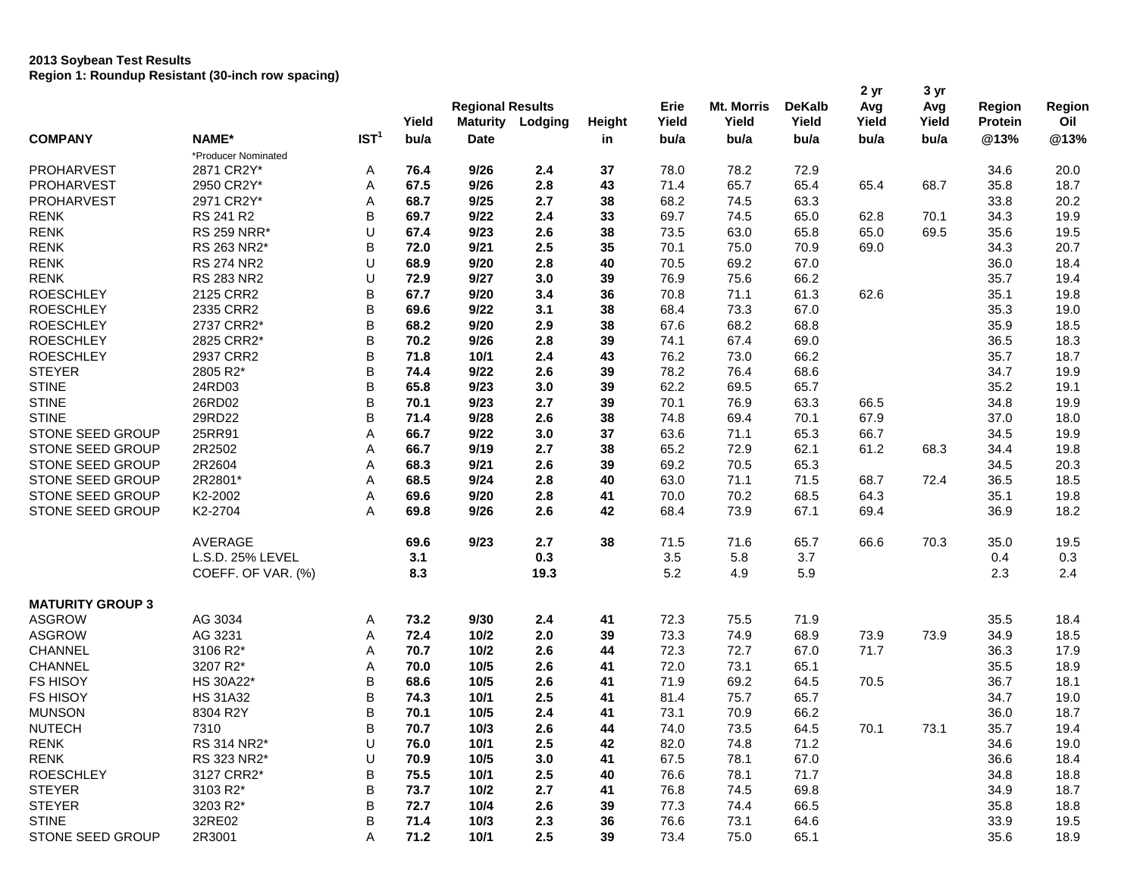## **2013 Soybean Test Results Region 1: Roundup Resistant (30-inch row spacing)**

|                         |                     |                  |       | <b>Regional Results</b> |         |               |       |                   | <b>DeKalb</b> | 2 yr  | 3 yr  |                |        |
|-------------------------|---------------------|------------------|-------|-------------------------|---------|---------------|-------|-------------------|---------------|-------|-------|----------------|--------|
|                         |                     |                  |       |                         |         |               | Erie  | <b>Mt. Morris</b> |               | Avg   | Avg   | <b>Region</b>  | Region |
|                         |                     |                  | Yield | <b>Maturity</b>         | Lodging | <b>Height</b> | Yield | Yield             | Yield         | Yield | Yield | <b>Protein</b> | Oil    |
| <b>COMPANY</b>          | NAME*               | IST <sup>1</sup> | bu/a  | <b>Date</b>             |         | in            | bu/a  | bu/a              | bu/a          | bu/a  | bu/a  | @13%           | @13%   |
|                         | *Producer Nominated |                  |       |                         |         |               |       |                   |               |       |       |                |        |
| <b>PROHARVEST</b>       | 2871 CR2Y*          | A                | 76.4  | 9/26                    | 2.4     | 37            | 78.0  | 78.2              | 72.9          |       |       | 34.6           | 20.0   |
| <b>PROHARVEST</b>       | 2950 CR2Y*          | Α                | 67.5  | 9/26                    | 2.8     | 43            | 71.4  | 65.7              | 65.4          | 65.4  | 68.7  | 35.8           | 18.7   |
| <b>PROHARVEST</b>       | 2971 CR2Y*          | Α                | 68.7  | 9/25                    | 2.7     | 38            | 68.2  | 74.5              | 63.3          |       |       | 33.8           | 20.2   |
| <b>RENK</b>             | RS 241 R2           | B                | 69.7  | 9/22                    | 2.4     | 33            | 69.7  | 74.5              | 65.0          | 62.8  | 70.1  | 34.3           | 19.9   |
| <b>RENK</b>             | <b>RS 259 NRR*</b>  | U                | 67.4  | 9/23                    | 2.6     | 38            | 73.5  | 63.0              | 65.8          | 65.0  | 69.5  | 35.6           | 19.5   |
| <b>RENK</b>             | RS 263 NR2*         | B                | 72.0  | 9/21                    | 2.5     | 35            | 70.1  | 75.0              | 70.9          | 69.0  |       | 34.3           | 20.7   |
| <b>RENK</b>             | <b>RS 274 NR2</b>   | U                | 68.9  | 9/20                    | 2.8     | 40            | 70.5  | 69.2              | 67.0          |       |       | 36.0           | 18.4   |
| <b>RENK</b>             | <b>RS 283 NR2</b>   | U                | 72.9  | 9/27                    | 3.0     | 39            | 76.9  | 75.6              | 66.2          |       |       | 35.7           | 19.4   |
| <b>ROESCHLEY</b>        | 2125 CRR2           | B                | 67.7  | 9/20                    | 3.4     | 36            | 70.8  | 71.1              | 61.3          | 62.6  |       | 35.1           | 19.8   |
| <b>ROESCHLEY</b>        | 2335 CRR2           | B                | 69.6  | 9/22                    | 3.1     | 38            | 68.4  | 73.3              | 67.0          |       |       | 35.3           | 19.0   |
| <b>ROESCHLEY</b>        | 2737 CRR2*          | B                | 68.2  | 9/20                    | 2.9     | 38            | 67.6  | 68.2              | 68.8          |       |       | 35.9           | 18.5   |
| <b>ROESCHLEY</b>        | 2825 CRR2*          | B                | 70.2  | 9/26                    | 2.8     | 39            | 74.1  | 67.4              | 69.0          |       |       | 36.5           | 18.3   |
| <b>ROESCHLEY</b>        | 2937 CRR2           | B                | 71.8  | 10/1                    | 2.4     | 43            | 76.2  | 73.0              | 66.2          |       |       | 35.7           | 18.7   |
| <b>STEYER</b>           | 2805 R2*            | B                | 74.4  | 9/22                    | 2.6     | 39            | 78.2  | 76.4              | 68.6          |       |       | 34.7           | 19.9   |
| <b>STINE</b>            | 24RD03              | B                | 65.8  | 9/23                    | 3.0     | 39            | 62.2  | 69.5              | 65.7          |       |       | 35.2           | 19.1   |
| <b>STINE</b>            | 26RD02              | B                | 70.1  | 9/23                    | 2.7     | 39            | 70.1  | 76.9              | 63.3          | 66.5  |       | 34.8           | 19.9   |
| <b>STINE</b>            | 29RD22              | B                | 71.4  | 9/28                    | 2.6     | 38            | 74.8  | 69.4              | 70.1          | 67.9  |       | 37.0           | 18.0   |
| STONE SEED GROUP        | 25RR91              | Α                | 66.7  | 9/22                    | 3.0     | 37            | 63.6  | 71.1              | 65.3          | 66.7  |       | 34.5           | 19.9   |
| STONE SEED GROUP        | 2R2502              | Α                | 66.7  | 9/19                    | 2.7     | 38            | 65.2  | 72.9              | 62.1          | 61.2  | 68.3  | 34.4           | 19.8   |
| STONE SEED GROUP        | 2R2604              | Α                | 68.3  | 9/21                    | 2.6     | 39            | 69.2  | 70.5              | 65.3          |       |       | 34.5           | 20.3   |
| STONE SEED GROUP        | 2R2801*             | Α                | 68.5  | 9/24                    | 2.8     | 40            | 63.0  | 71.1              | 71.5          | 68.7  | 72.4  | 36.5           | 18.5   |
| STONE SEED GROUP        | K2-2002             | Α                | 69.6  | 9/20                    | 2.8     | 41            | 70.0  | 70.2              | 68.5          | 64.3  |       | 35.1           | 19.8   |
| STONE SEED GROUP        | K2-2704             | Α                | 69.8  | 9/26                    | 2.6     | 42            | 68.4  | 73.9              | 67.1          | 69.4  |       | 36.9           | 18.2   |
|                         | AVERAGE             |                  | 69.6  | 9/23                    | 2.7     | 38            | 71.5  | 71.6              | 65.7          | 66.6  | 70.3  | 35.0           | 19.5   |
|                         | L.S.D. 25% LEVEL    |                  | 3.1   |                         | 0.3     |               | 3.5   | 5.8               | 3.7           |       |       | 0.4            | 0.3    |
|                         | COEFF. OF VAR. (%)  |                  | 8.3   |                         | 19.3    |               | 5.2   | 4.9               | 5.9           |       |       | 2.3            | 2.4    |
| <b>MATURITY GROUP 3</b> |                     |                  |       |                         |         |               |       |                   |               |       |       |                |        |
| <b>ASGROW</b>           | AG 3034             | Α                | 73.2  | 9/30                    | 2.4     | 41            | 72.3  | 75.5              | 71.9          |       |       | 35.5           | 18.4   |
| <b>ASGROW</b>           | AG 3231             | Α                | 72.4  | 10/2                    | 2.0     | 39            | 73.3  | 74.9              | 68.9          | 73.9  | 73.9  | 34.9           | 18.5   |
| <b>CHANNEL</b>          | 3106 R2*            | Α                | 70.7  | $10/2$                  | 2.6     | 44            | 72.3  | 72.7              | 67.0          | 71.7  |       | 36.3           | 17.9   |
| CHANNEL                 | 3207 R2*            | Α                | 70.0  | 10/5                    | 2.6     | 41            | 72.0  | 73.1              | 65.1          |       |       | 35.5           | 18.9   |
| <b>FS HISOY</b>         | HS 30A22*           | B                | 68.6  | 10/5                    | 2.6     | 41            | 71.9  | 69.2              | 64.5          | 70.5  |       | 36.7           | 18.1   |
| <b>FS HISOY</b>         | <b>HS 31A32</b>     | B                | 74.3  | 10/1                    | 2.5     | 41            | 81.4  | 75.7              | 65.7          |       |       | 34.7           | 19.0   |
| <b>MUNSON</b>           | 8304 R2Y            | B                | 70.1  | 10/5                    | 2.4     | 41            | 73.1  | 70.9              | 66.2          |       |       | 36.0           | 18.7   |
| <b>NUTECH</b>           | 7310                | B                | 70.7  | $10/3$                  | 2.6     | 44            | 74.0  | 73.5              | 64.5          | 70.1  | 73.1  | 35.7           | 19.4   |
| <b>RENK</b>             | RS 314 NR2*         | U                | 76.0  | 10/1                    | 2.5     | 42            | 82.0  | 74.8              | 71.2          |       |       | 34.6           | 19.0   |
| <b>RENK</b>             | RS 323 NR2*         | U                | 70.9  | 10/5                    | 3.0     | 41            | 67.5  | 78.1              | 67.0          |       |       | 36.6           | 18.4   |
| <b>ROESCHLEY</b>        | 3127 CRR2*          | B                | 75.5  | 10/1                    | 2.5     | 40            | 76.6  | 78.1              | 71.7          |       |       | 34.8           | 18.8   |
| <b>STEYER</b>           | 3103 R2*            | B                | 73.7  | 10/2                    | 2.7     | 41            | 76.8  | 74.5              | 69.8          |       |       | 34.9           | 18.7   |
| <b>STEYER</b>           | 3203 R2*            | B                | 72.7  | 10/4                    | 2.6     | 39            | 77.3  | 74.4              | 66.5          |       |       | 35.8           | 18.8   |
| <b>STINE</b>            | 32RE02              | B                | 71.4  | 10/3                    | 2.3     | 36            | 76.6  | 73.1              | 64.6          |       |       | 33.9           | 19.5   |
| STONE SEED GROUP        | 2R3001              | Α                | 71.2  | 10/1                    | 2.5     | 39            | 73.4  | 75.0              | 65.1          |       |       | 35.6           | 18.9   |